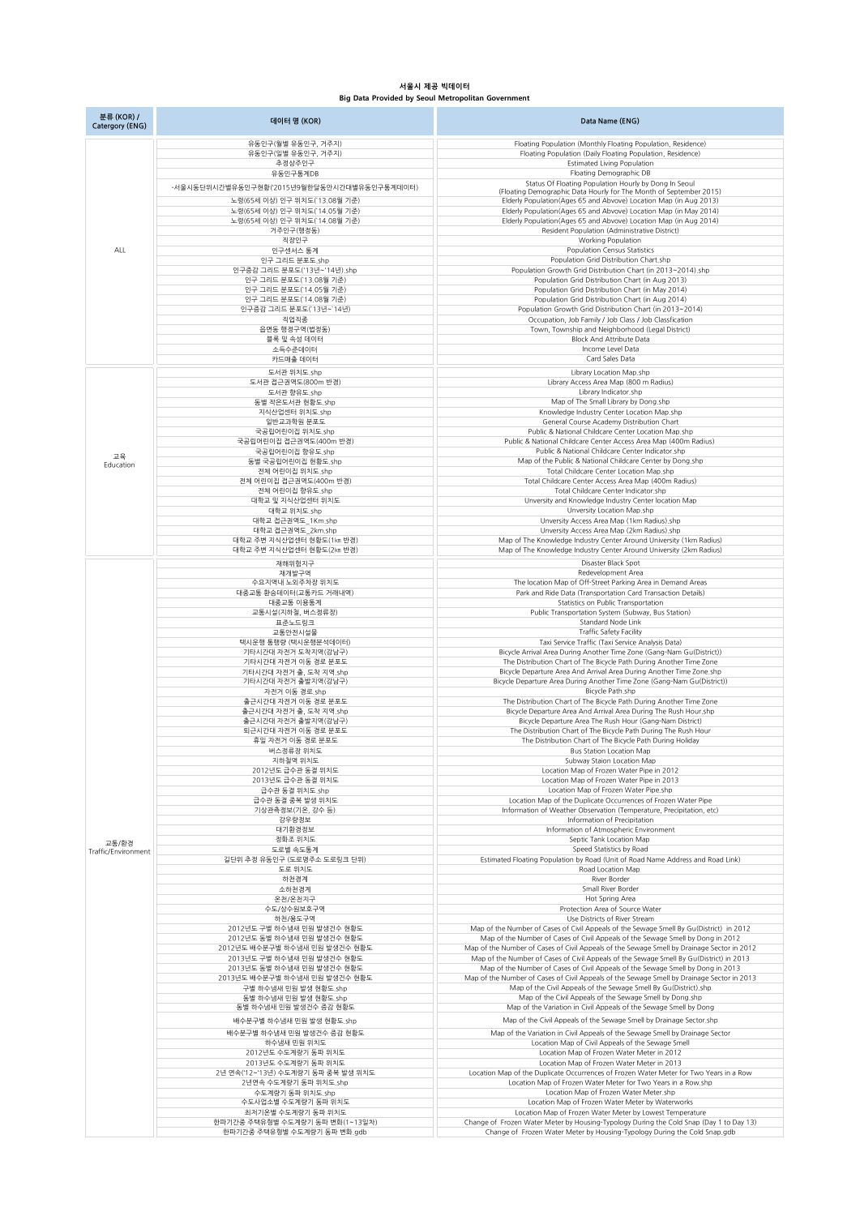## **서울시 제공 빅데이터 Big Data Provided by Seoul Metropolitan Government**

| 분류 (KOR) /<br>Catergory (ENG) | 데이터 명 (KOR)                                                    | Data Name (ENG)                                                                                                                                                                       |
|-------------------------------|----------------------------------------------------------------|---------------------------------------------------------------------------------------------------------------------------------------------------------------------------------------|
|                               | 유동인구(월별 유동인구, 거주지)                                             | Floating Population (Monthly Floating Population, Residence)                                                                                                                          |
|                               | 유동인구(일별 유동인구, 거주지)                                             | Floating Population (Daily Floating Population, Residence)                                                                                                                            |
|                               | 추정상주인구<br>유동인구통계DB                                             | <b>Estimated Living Population</b><br>Floating Demographic DB                                                                                                                         |
|                               | -서울시동단위시간별유동인구현황('2015년9월한달동안시간대별유동인구통계데이터)                    | Status Of Floating Population Hourly by Dong In Seoul                                                                                                                                 |
|                               | 노령(65세 이상) 인구 위치도(13.08월 기준)                                   | (Floating Demographic Data Hourly for The Month of September 2015)<br>Elderly Population(Ages 65 and Abvove) Location Map (in Aug 2013)                                               |
|                               | 노령(65세 이상) 인구 위치도(14.05월 기준)                                   | Elderly Population(Ages 65 and Abvove) Location Map (in May 2014)                                                                                                                     |
|                               | 노령(65세 이상) 인구 위치도(14.08월 기준)                                   | Elderly Population(Ages 65 and Abvove) Location Map (in Aug 2014)                                                                                                                     |
|                               | 거주인구(행정동)<br>직장인구                                              | Resident Population (Administrative District)<br>Working Population                                                                                                                   |
| ALL                           | 인구센서스 통계                                                       | <b>Population Census Statistics</b>                                                                                                                                                   |
|                               | 인구 그리드 분포도.shp<br>인구증감 그리드 분포도('13년~'14년).shp                  | Population Grid Distribution Chart.shp<br>Population Growth Grid Distribution Chart (in 2013~2014).shp                                                                                |
|                               | 인구 그리드 분포도(13.08월 기준)                                          | Population Grid Distribution Chart (in Aug 2013)                                                                                                                                      |
|                               | 인구 그리드 분포도('14.05월 기준)                                         | Population Grid Distribution Chart (in May 2014)                                                                                                                                      |
|                               | 인구 그리드 분포도(`14.08월 기준)<br>인구증감 그리드 분포도(13년~14년)                | Population Grid Distribution Chart (in Aug 2014)<br>Population Growth Grid Distribution Chart (in 2013~2014)                                                                          |
|                               | 직업직종                                                           | Occupation, Job Family / Job Class / Job Classfication                                                                                                                                |
|                               | 읍면동 행정구역(법정동)<br>블록 및 속성 데이터                                   | Town, Township and Neighborhood (Legal District)<br><b>Block And Attribute Data</b>                                                                                                   |
|                               | 소득수준데이터                                                        | Income Level Data                                                                                                                                                                     |
|                               | 카드매출 데이터                                                       | Card Sales Data                                                                                                                                                                       |
|                               | 도서관 위치도.shp<br>도서관 접근권역도(800m 반경)                              | Library Location Map.shp<br>Library Access Area Map (800 m Radius)                                                                                                                    |
|                               | 도서관 향유도.shp                                                    | Library Indicator.shp                                                                                                                                                                 |
|                               | 동별 작은도서관 현황도.shp                                               | Map of The Small Library by Dong.shp<br>Knowledge Industry Center Location Map.shp                                                                                                    |
|                               | 지식산업센터 위치도.shp<br>일반교과학원 분포도                                   | General Course Academy Distribution Chart                                                                                                                                             |
|                               | 국공립어린이집 위치도.shp                                                | Public & National Childcare Center Location Map.shp                                                                                                                                   |
|                               | 국공립어린이집 접근권역도(400m 반경)<br>국공립어린이집 향유도.shp                      | Public & National Childcare Center Access Area Map (400m Radius)<br>Public & National Childcare Center Indicator shp                                                                  |
| 교육<br>Education               | 동별 국공립어린이집 현황도.shp                                             | Map of the Public & National Childcare Center by Dong.shp                                                                                                                             |
|                               | 전체 어린이집 위치도.shp<br>전체 어린이집 접근권역도(400m 반경)                      | Total Childcare Center Location Map.shp<br>Total Childcare Center Access Area Map (400m Radius)                                                                                       |
|                               | 전체 어린이집 향유도.shp                                                | Total Childcare Center Indicator shp                                                                                                                                                  |
|                               | 대학교 및 지식산업센터 위치도<br>대학교 위치도.shp                                | Unversity and Knowledge Industry Center location Map                                                                                                                                  |
|                               | 대학교 접근권역도_1Km.shp                                              | Unversity Location Map.shp<br>Unversity Access Area Map (1km Radius).shp                                                                                                              |
|                               | 대학교 접근권역도_2km.shp                                              | Unversity Access Area Map (2km Radius) shp                                                                                                                                            |
|                               | 대학교 주변 지식산업센터 현황도(1㎞ 반경)<br>대학교 주변 지식산업센터 현황도(2km 반경)          | Map of The Knowledge Industry Center Around University (1km Radius)<br>Map of The Knowledge Industry Center Around University (2km Radius)                                            |
|                               | 재해위험지구                                                         | Disaster Black Spot                                                                                                                                                                   |
|                               | 재개발구역<br>수요지역내 노외주차장 위치도                                       | Redevelopment Area<br>The location Map of Off-Street Parking Area in Demand Areas                                                                                                     |
|                               | 대중교통 환승데이터(교통카드 거래내역)                                          | Park and Ride Data (Transportation Card Transaction Details)                                                                                                                          |
|                               | 대중교통 이용통계                                                      | Statistics on Public Transportation                                                                                                                                                   |
|                               | 교통시설(지하철, 버스정류장)<br>표준노드링크                                     | Public Transportation System (Subway, Bus Station)<br>Standard Node Link                                                                                                              |
|                               | 교통안전시설물                                                        | <b>Traffic Safety Facility</b>                                                                                                                                                        |
|                               | 택시운행 통행량 (택시운행분석데이터)<br>기타시간대 자전거 도착지역(강남구)                    | Taxi Service Traffic (Taxi Service Analysis Data)<br>Bicycle Arrival Area During Another Time Zone (Gang-Nam Gu(District))                                                            |
|                               | 기타시간대 자전거 이동 경로 분포도                                            | The Distribution Chart of The Bicycle Path During Another Time Zone                                                                                                                   |
|                               | 기타시간대 자전거 출, 도착 지역.shp<br>기타시간대 자전거 출발지역(강남구)                  | Bicycle Departure Area And Arrival Area During Another Time Zone.shp<br>Bicycle Departure Area During Another Time Zone (Gang-Nam Gu(District))                                       |
|                               | 자전거 이동 경로.shp                                                  | Bicycle Path.shp                                                                                                                                                                      |
|                               | 출근시간대 자전거 이동 경로 분포도<br>출근시간대 자전거 출, 도착 지역.shp                  | The Distribution Chart of The Bicycle Path During Another Time Zone<br>Bicycle Departure Area And Arrival Area During The Rush Hour shp                                               |
|                               | 출근시간대 자전거 출발지역(강남구)                                            | Bicycle Departure Area The Rush Hour (Gang-Nam District)                                                                                                                              |
|                               | 퇴근시간대 자전거 이동 경로 분포도<br>휴일 자전거 이동 경로 분포도                        | The Distribution Chart of The Bicycle Path During The Rush Hour<br>The Distribution Chart of The Bicycle Path During Holiday                                                          |
|                               | 버스정류장 위치도                                                      | <b>Bus Station Location Map</b>                                                                                                                                                       |
|                               | 지하철역 위치도<br>2012년도 급수관 동결 위치도                                  | Subway Staion Location Map<br>Location Map of Frozen Water Pipe in 2012                                                                                                               |
|                               | 2013년도 급수관 동결 위치도                                              | Location Map of Frozen Water Pipe in 2013                                                                                                                                             |
|                               | 급수관 동결 위치도.shp<br>급수관 동결 중복 발생 위치도                             | Location Map of Frozen Water Pipe.shp<br>Location Map of the Duplicate Occurrences of Frozen Water Pipe                                                                               |
|                               | 기상관측정보(기온, 강수 등)                                               | Information of Weather Observation (Temperature, Precipitation, etc)                                                                                                                  |
| 교통/환경<br>Traffic/Environment  | 강우량정보                                                          | Information of Precipitation<br>Information of Atmospheric Environment                                                                                                                |
|                               | 대기환경정보<br>정화조 위치도                                              | Septic Tank Location Map                                                                                                                                                              |
|                               | 도로별 속도통계                                                       | Speed Statistics by Road                                                                                                                                                              |
|                               | 길단위 추정 유동인구 (도로명주소 도로링크 단위)<br>도로 위치도                          | Estimated Floating Population by Road (Unit of Road Name Address and Road Link)<br>Road Location Map                                                                                  |
|                               | 하천경계                                                           | River Border                                                                                                                                                                          |
|                               | 소하천경계<br>온천/온천지구                                               | Small River Border<br>Hot Spring Area                                                                                                                                                 |
|                               | 수도/상수원보호구역                                                     | Protection Area of Source Water                                                                                                                                                       |
|                               | 하천/용도구역<br>2012년도 구별 하수냄새 민원 발생건수 현황도                          | Use Districts of River Stream<br>Map of the Number of Cases of Civil Appeals of the Sewage Smell By Gu(District) in 2012                                                              |
|                               | 2012년도 동별 하수냄새 민원 발생건수 현황도                                     | Map of the Number of Cases of Civil Appeals of the Sewage Smell by Dong in 2012                                                                                                       |
|                               | 2012년도 배수분구별 하수냄새 민원 발생건수 현황도<br>2013년도 구별 하수냄새 민원 발생건수 현황도    | Map of the Number of Cases of Civil Appeals of the Sewage Smell by Drainage Sector in 2012<br>Map of the Number of Cases of Civil Appeals of the Sewage Smell By Gu(District) in 2013 |
|                               | 2013년도 동별 하수냄새 민원 발생건수 현황도                                     | Map of the Number of Cases of Civil Appeals of the Sewage Smell by Dong in 2013                                                                                                       |
|                               | 2013년도 배수분구별 하수냄새 민원 발생건수 현황도                                  | Map of the Number of Cases of Civil Appeals of the Sewage Smell by Drainage Sector in 2013<br>Map of the Civil Appeals of the Sewage Smell By Gu(District).shp                        |
|                               | 구별 하수냄새 민원 발생 현황도.shp<br>동별 하수냄새 민원 발생 현황도.shp                 | Map of the Civil Appeals of the Sewage Smell by Dong.shp                                                                                                                              |
|                               | 동별 하수냄새 민원 발생건수 증감 현황도                                         | Map of the Variation in Civil Appeals of the Sewage Smell by Dong                                                                                                                     |
|                               | 배수분구별 하수냄새 민원 발생 현황도.shp                                       | Map of the Civil Appeals of the Sewage Smell by Drainage Sector.shp                                                                                                                   |
|                               | 배수분구별 하수냄새 민원 발생건수 증감 현황도<br>하수냄새 민원 위치도                       | Map of the Variation in Civil Appeals of the Sewage Smell by Drainage Sector<br>Location Map of Civil Appeals of the Sewage Smell                                                     |
|                               | 2012년도 수도계량기 동파 위치도                                            | Location Map of Frozen Water Meter in 2012                                                                                                                                            |
|                               | 2013년도 수도계량기 동파 위치도<br>2년 연속('12~'13년) 수도계량기 동파 중복 발생 위치도      | Location Map of Frozen Water Meter in 2013<br>Location Map of the Duplicate Occurrences of Frozen Water Meter for Two Years in a Row                                                  |
|                               | 2년연속 수도계량기 동파 위치도.shp                                          | Location Map of Frozen Water Meter for Two Years in a Row shp                                                                                                                         |
|                               | 수도계량기 동파 위치도.shp                                               | Location Map of Frozen Water Meter shp                                                                                                                                                |
|                               | 수도사업소별 수도계량기 동파 위치도<br>최저기온별 수도계량기 동파 위치도                      | Location Map of Frozen Water Meter by Waterworks<br>Location Map of Frozen Water Meter by Lowest Temperature                                                                          |
|                               | 한파기간중 주택유형별 수도계량기 동파 변화(1~13일차)<br>한파기간중 주택유형별 수도계량기 동파 변화.gdb | Change of Frozen Water Meter by Housing-Typology During the Cold Snap (Day 1 to Day 13)<br>Change of Frozen Water Meter by Housing-Typology During the Cold Snap.gdb                  |